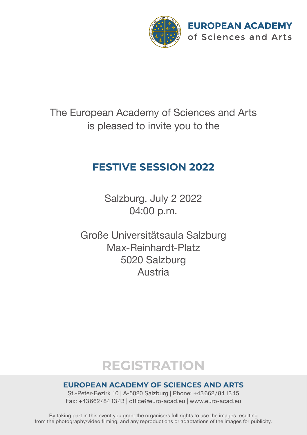

# The European Academy of Sciences and Arts is pleased to invite you to the

# **FESTIVE SESSION 2022**

Salzburg, July 2 2022 04:00 p.m.

Große Universitätsaula Salzburg Max-Reinhardt-Platz 5020 Salzburg Austria

# **REGISTRATION**

#### **EUROPEAN ACADEMY OF SCIENCES AND ARTS**

St.-Peter-Bezirk 10 | A-5020 Salzburg | Phone: +43662/841345 Fax: +43662/841343 | office@euro-acad.eu | www.euro-acad.eu

By taking part in this event you grant the organisers full rights to use the images resulting from the photography/video filming, and any reproductions or adaptations of the images for publicity.